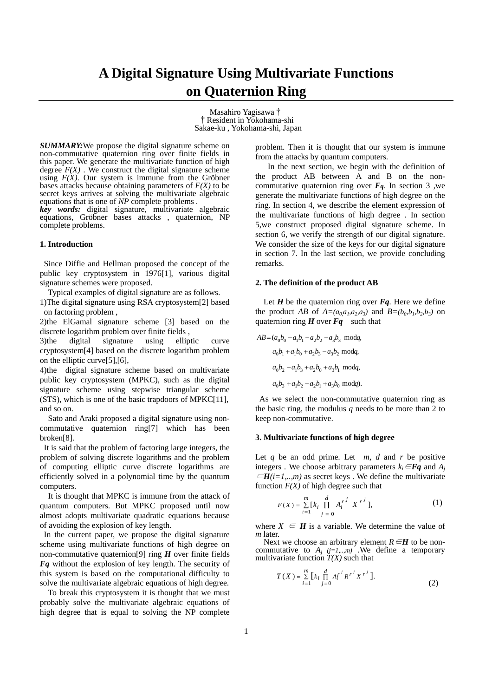# **A Digital Signature Using Multivariate Functions on Quaternion Ring**

Masahiro Yagisawa† †Resident in Yokohama-shi Sakae-ku , Yokohama-shi, Japan

*SUMMARY:*We propose the digital signature scheme on non-commutative quaternion ring over finite fields in this paper. We generate the multivariate function of high degree  $F(X)$ . We construct the digital signature scheme using  $F(X)$ . Our system is immune from the Gröbner bases attacks because obtaining parameters of  $F(X)$  to be secret keys arrives at solving the multivariate algebraic equations that is one of *NP* complete problems *. key words:* digital signature, multivariate algebraic

equations*,* Gröbner bases attacks , quaternion, NP complete problems.

## **1. Introduction**

Since Diffie and Hellman proposed the concept of the public key cryptosystem in 1976[1], various digital signature schemes were proposed.

Typical examples of digital signature are as follows.

1)The digital signature using RSA cryptosystem[2] based on factoring problem ,

2)the ElGamal signature scheme [3] based on the discrete logarithm problem over finite fields ,

3)the digital signature using elliptic curve cryptosystem[4] based on the discrete logarithm problem on the elliptic curve[5],[6],

4)the digital signature scheme based on multivariate public key cryptosystem (MPKC), such as the digital signature scheme using stepwise triangular scheme (STS), which is one of the basic trapdoors of MPKC[11], and so on.

 Sato and Araki proposed a digital signature using noncommutative quaternion ring[7] which has been broken[8].

 It is said that the problem of factoring large integers, the problem of solving discrete logarithms and the problem of computing elliptic curve discrete logarithms are efficiently solved in a polynomial time by the quantum computers.

It is thought that MPKC is immune from the attack of quantum computers. But MPKC proposed until now almost adopts multivariate quadratic equations because of avoiding the explosion of key length.

In the current paper, we propose the digital signature scheme using multivariate functions of high degree on non-commutative quaternion[9] ring *H* over finite fields *Fq* without the explosion of key length. The security of this system is based on the computational difficulty to solve the multivariate algebraic equations of high degree.

 To break this cryptosystem it is thought that we must probably solve the multivariate algebraic equations of high degree that is equal to solving the NP complete

problem. Then it is thought that our system is immune from the attacks by quantum computers.

 In the next section, we begin with the definition of the product AB between A and B on the noncommutative quaternion ring over  $F_q$ . In section 3, we generate the multivariate functions of high degree on the ring. In section 4, we describe the element expression of the multivariate functions of high degree . In section 5,we construct proposed digital signature scheme. In section 6, we verify the strength of our digital signature. We consider the size of the keys for our digital signature in section 7. In the last section, we provide concluding remarks.

#### **2. The definition of the product AB**

Let  $H$  be the quaternion ring over  $Fq$ . Here we define the product *AB* of  $A=(a_0, a_1, a_2, a_3)$  and  $B=(b_0, b_1, b_2, b_3)$  on quaternion ring  $H$  over  $Fq$  such that

$$
AB = (a_0b_0 - a_1b_1 - a_2b_2 - a_3b_3 \text{ mod}q,
$$
  
\n
$$
a_0b_1 + a_1b_0 + a_2b_3 - a_3b_2 \text{ mod}q,
$$
  
\n
$$
a_0b_2 - a_1b_3 + a_2b_0 + a_3b_1 \text{ mod}q,
$$
  
\n
$$
a_0b_3 + a_1b_2 - a_2b_1 + a_3b_0 \text{ mod}q.
$$

As we select the non-commutative quaternion ring as the basic ring, the modulus *q* needs to be more than 2 to keep non-commutative.

## **3. Multivariate functions of high degree**

Let  $q$  be an odd prime. Let  $m$ ,  $d$  and  $r$  be positive integers *.* We choose arbitrary parameters  $k_i \in \mathbf{F}\mathbf{q}$  and  $A_i$ <sup>∈</sup>*H(i=1,..,m)* as secret keys . We define the multivariate function  $F(X)$  of high degree such that

$$
F(X) = \sum_{i=1}^{m} [k_i \prod_{j=0}^{d} A_i^{r^j} X^{r^j}],
$$
 (1)

where  $X \in H$  is a variable. We determine the value of *m* later.

Next we choose an arbitrary element  $R \in H$  to be noncommutative to  $A_j$  ( $j=1,...,m$ ). We define a temporary multivariate function  $T(X)$  such that

$$
T(X) = \sum_{i=1}^{m} \left[ k_i \prod_{j=0}^{d} A_i^{r^j} R^{r^j} X^{r^j} \right].
$$
 (2)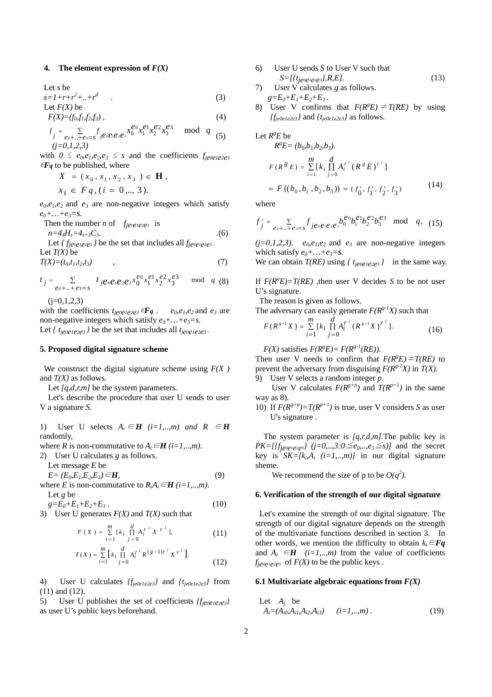## **4.** The element expression of  $F(X)$

Let *s* be  
\n
$$
s=1+r+r^2+...+r^d
$$
\n
$$
I \text{ et } F(X) \text{ be } (3)
$$

$$
F(X) = (f_0, f_1, f_2, f_3) , \qquad (4)
$$

$$
f_j = \sum_{e_0 + \ldots + e_3 = s} f_{j e_0 e_1 e_2 e_3} x_0^{e_0} x_1^{e_1} x_2^{e_2} x_3^{e_3} \mod q
$$
(5)  
(j=0,1,2,3)

with  $0 \le e_0, e_1, e_2, e_3 \le s$  and the coefficients  $f_{je0e1e2e3}$  $\epsilon F_q$  to be published, where

$$
X = (x_0, x_1, x_2, x_3) \in \mathbf{H},
$$
  

$$
x_i \in Fq, (i = 0, ..., 3).
$$

 $e_0, e_1, e_2$  and  $e_3$  are non-negative integers which satisfy  $e_0 + ... + e_3 = s$ .

Then the number *n* of  $f_{je0e1e2e3}$  is

 $n=4_4H_s=4_{s+3}C_3.$  (6) Let  $\{f_{je0e1e2e3}\}$  be the set that includes all  $f_{je0e1e2e3}$ .

Let 
$$
T(X)
$$
 be  
\n $T(X)=(t_0,t_1,t_2,t_3)$  (7)

$$
t_j = \sum_{e_0 + \ldots + e_3 = s} t_j e_0 e_1 e_2 e_3 x_0^{e_0} x_1^{e_1} x_2^{e_2} x_3^{e_3} \mod q \quad (8)
$$

 $(i=0,1,2,3)$ 

with the coefficients  $t_{je0e1e2e3}$   $\epsilon \mathbf{Fq}$ .  $e_0, e_1, e_2$  and  $e_3$  are non-negative integers which satisfy  $e_0 + ... + e_3 = s$ .

Let  $\{t_{je0e1e2e3}\}$  be the set that includes all  $t_{je0e1e2e3}$ .

# **5. Proposed digital signature scheme**

We construct the digital signature scheme using  $F(X)$ and *T(X)* as follows.

Let *[a,d,r,m]* be the system parameters.

Let's describe the procedure that user U sends to user V a signature *S*.

1) User U selects  $A_i \in H$  (*i*=1,..,*m*) and  $R \in H$ randomly,

where *R* is non-commutative to  $A_i \in H$  (*i*=1,..,*m*).

2) User U calculates *g* as follows.

Let message 
$$
E
$$
 be

 $E = (E_0, E_1, E_2, E_3) \in H$ , (9) where *E* is non-commutative to  $R, A_i \in H$  (*i*=1,..,*m*).  $\overline{L}$  at  $\alpha$  **be** 

Let g be  
\n
$$
g=E_0+E_1+E_2+E_3.
$$
 (10)

3) User U generates  $F(X)$  and  $T(X)$  such that

$$
F(X) = \sum_{i=1}^{m} [k_i \prod_{j=0}^{d} A_i^{r^j} X^{r^j}],
$$
 (11)

$$
T(X) = \sum_{i=1}^{m} \left[ k_i \prod_{j=0}^{d} A_i^{r^j} R^{(g-1)r^j} X^{r^j} \right].
$$
 (12)

4) User U calculates *{fje0e1e2e3}* and *{tje0e1e2e3}* from (11) and (12).

5) User U publishes the set of coefficients *{fje0e1e2e3}* as user U's public keys beforehand.

- 6) User U sends *S* to User V such that *S=[{tje0e1e2e3},R,E].* (13)
- 7) User V calculates *g* as follows.  $g=E_0+E_1+E_2+E_3$ .
- 8) User V confirms that  $F(R^{g}E) \neq T(RE)$  by using *{fje0e1e2e3}* and *{tje0e1e2e3}* as follows*.*

Let 
$$
R^gE
$$
 be

$$
R^{g}E = (b_{0}, b_{1}, b_{2}, b_{3}).
$$
  
\n
$$
F(R^{g}E) = \sum_{i=1}^{m} [k_{i} \prod_{j=0}^{d} A_{i}^{r^{j}} (R^{g}E)^{r^{j}}]
$$
  
\n
$$
= F((b_{0}, b_{1}, b_{2}, b_{3})) = (f_{0}^{*}, f_{1}^{*}, f_{2}^{*}, f_{3}^{*})
$$
 (14)

where

$$
f'_{j} = \sum_{e_0 + \ldots + e_{3} = s} f_{j e_0 e_1 e_2 e_3} b_0^{e_0} b_1^{e_1} b_2^{e_2} b_3^{e_3} \mod q, \tag{15}
$$

 $(j=0,1,2,3)$ .  $e_0, e_1, e_2$  and  $e_3$  are non-negative integers which satisfy  $e_0 + ... + e_3 = s$ .

We can obtain *T(RE)* using *{ tje0e1e2e3 }* in the same way.

If  $F(R^{8}E)=T(RE)$ , then user V decides *S* to be not user U's signature.

The reason is given as follows.

The adversary can easily generate  $F(R^{g-1}X)$  such that

$$
F(R^{s-1}X) = \sum_{i=1}^{m} [k_i \prod_{j=0}^{d} A_i^{r^j} (R^{s-1}X)^{r^j}].
$$
 (16)

 $F(X)$  satisfies  $F(R^{g}E) = F(R^{g-1}(RE))$ .

Then user V needs to confirm that  $F(R<sup>g</sup>E) \neq T(RE)$  to prevent the adversary from disguising  $F(R^{g-1}X)$  in  $T(X)$ . 9) User V selects a random integer *p*.

User V calculates  $F(R^{g+p})$  and  $T(R^{p+1})$  in the same way as 8).

10) If  $F(R^{g+p}) = T(R^{p+1})$  is true, user V considers *S* as user U's signature .

The system parameter is *[q,r,d,m].*The public key is  $PK=[\{f_{jeo\neq1e2e3}\}\ (j=0,..,3:0\leq e_0,..,e_3\leq s)]$  and the secret key is  $SK=[k_iA_i$   $(i=1,..,m)]$  in our digital signature sheme.

We recommend the size of p to be  $O(q^2)$ .

# **6. Verification of the strength of our digital signature**

Let's examine the strength of our digital signature. The strength of our digital signature depends on the strength of the multivariate functions described in section 3. In other words, we mention the difficulty to obtain  $k_i \in \mathbf{Fq}$ and  $A_i \in H$  (*i*=1,..,*m*) from the value of coefficients  $f_{je0e1e2e3}$  of  $F(X)$  to be the public keys.

#### **6.1 Multivariate algebraic equations from**  $F(X)$

Let 
$$
A_j
$$
 be  
\n $A_i = (A_{i0}, A_{i1}, A_{i2}, A_{i3})$   $(i = 1, ..., m)$ . (19)